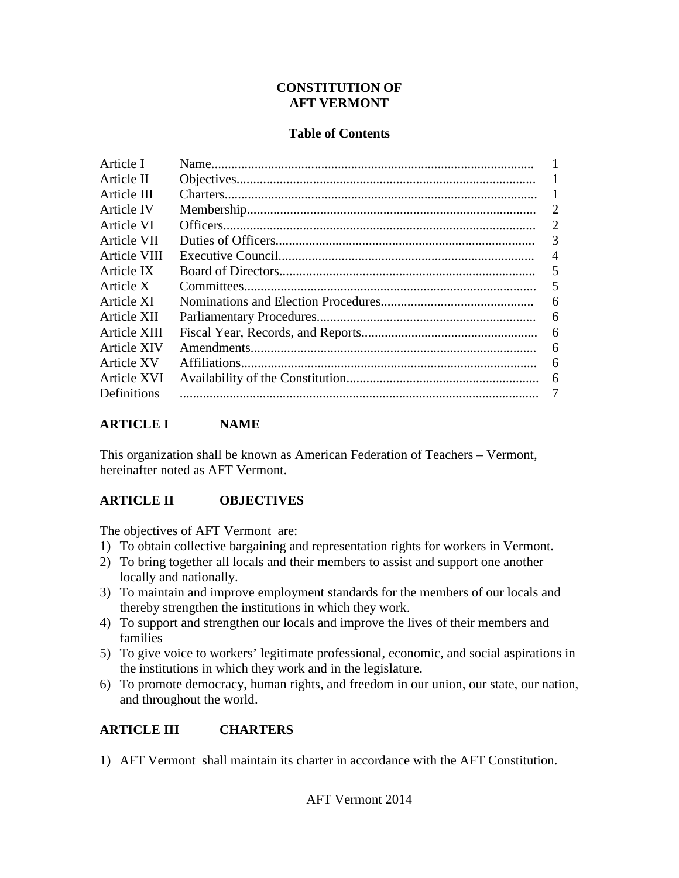#### **CONSTITUTION OF AFT VERMONT**

#### **Table of Contents**

| 2              |
|----------------|
| 2              |
| 3              |
| $\overline{A}$ |
| 5              |
| 5              |
| 6              |
| 6              |
| 6              |
| 6              |
| 6              |
| 6              |
| 7              |
|                |

#### **ARTICLE I NAME**

This organization shall be known as American Federation of Teachers – Vermont, hereinafter noted as AFT Vermont.

#### **ARTICLE II OBJECTIVES**

The objectives of AFT Vermont are:

- 1) To obtain collective bargaining and representation rights for workers in Vermont.
- 2) To bring together all locals and their members to assist and support one another locally and nationally.
- 3) To maintain and improve employment standards for the members of our locals and thereby strengthen the institutions in which they work.
- 4) To support and strengthen our locals and improve the lives of their members and families
- 5) To give voice to workers' legitimate professional, economic, and social aspirations in the institutions in which they work and in the legislature.
- 6) To promote democracy, human rights, and freedom in our union, our state, our nation, and throughout the world.

## **ARTICLE III CHARTERS**

1) AFT Vermont shall maintain its charter in accordance with the AFT Constitution.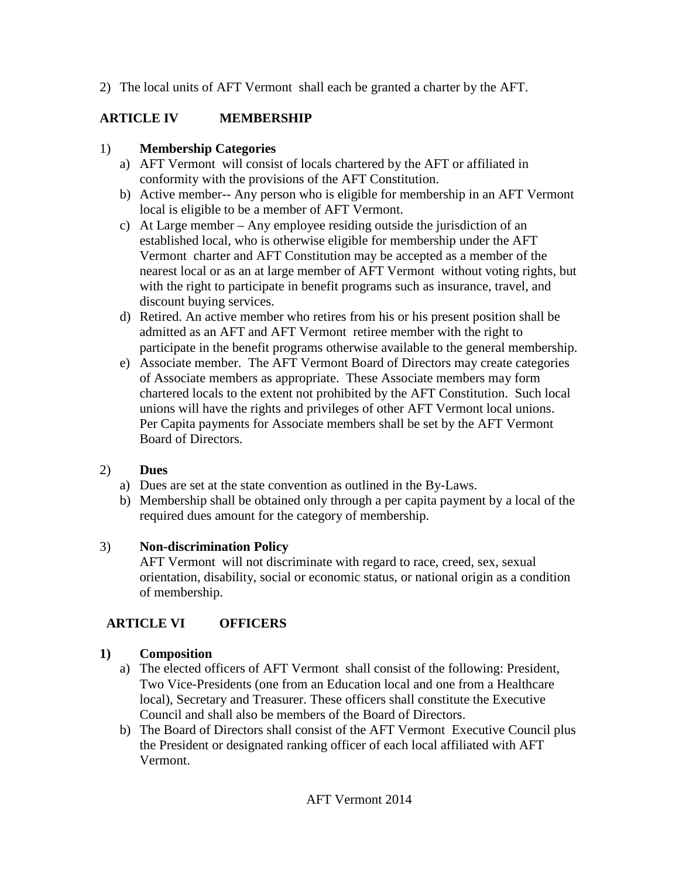2) The local units of AFT Vermont shall each be granted a charter by the AFT.

## **ARTICLE IV MEMBERSHIP**

### 1) **Membership Categories**

- a) AFT Vermont will consist of locals chartered by the AFT or affiliated in conformity with the provisions of the AFT Constitution.
- b) Active member-- Any person who is eligible for membership in an AFT Vermont local is eligible to be a member of AFT Vermont.
- c) At Large member Any employee residing outside the jurisdiction of an established local, who is otherwise eligible for membership under the AFT Vermont charter and AFT Constitution may be accepted as a member of the nearest local or as an at large member of AFT Vermont without voting rights, but with the right to participate in benefit programs such as insurance, travel, and discount buying services.
- d) Retired. An active member who retires from his or his present position shall be admitted as an AFT and AFT Vermont retiree member with the right to participate in the benefit programs otherwise available to the general membership.
- e) Associate member. The AFT Vermont Board of Directors may create categories of Associate members as appropriate. These Associate members may form chartered locals to the extent not prohibited by the AFT Constitution. Such local unions will have the rights and privileges of other AFT Vermont local unions. Per Capita payments for Associate members shall be set by the AFT Vermont Board of Directors.

## 2) **Dues**

- a) Dues are set at the state convention as outlined in the By-Laws.
- b) Membership shall be obtained only through a per capita payment by a local of the required dues amount for the category of membership.

#### 3) **Non-discrimination Policy**

AFT Vermont will not discriminate with regard to race, creed, sex, sexual orientation, disability, social or economic status, or national origin as a condition of membership.

## **ARTICLE VI OFFICERS**

#### **1) Composition**

- a) The elected officers of AFT Vermont shall consist of the following: President, Two Vice-Presidents (one from an Education local and one from a Healthcare local), Secretary and Treasurer. These officers shall constitute the Executive Council and shall also be members of the Board of Directors.
- b) The Board of Directors shall consist of the AFT Vermont Executive Council plus the President or designated ranking officer of each local affiliated with AFT Vermont.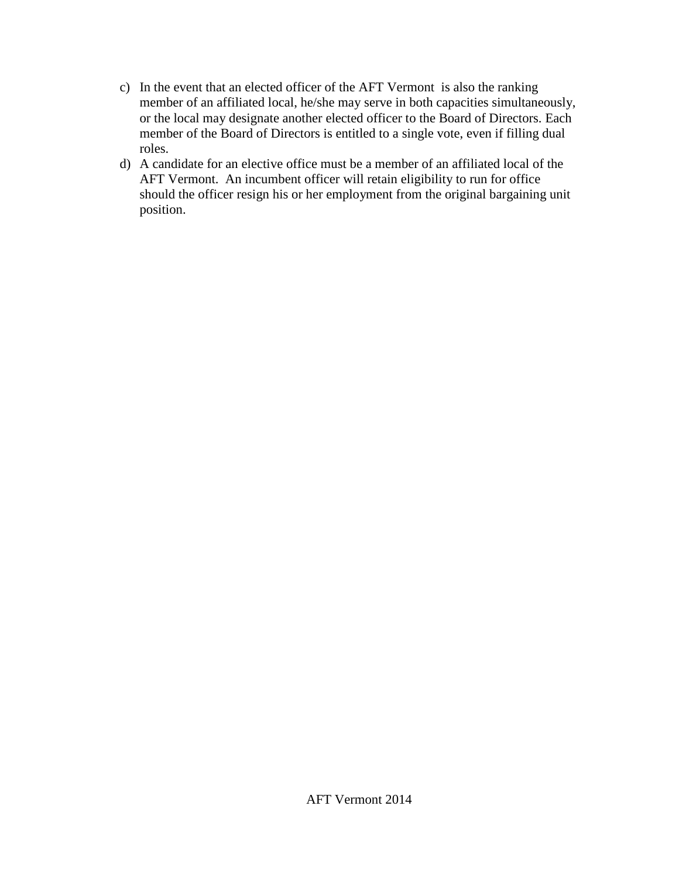- c) In the event that an elected officer of the AFT Vermont is also the ranking member of an affiliated local, he/she may serve in both capacities simultaneously, or the local may designate another elected officer to the Board of Directors. Each member of the Board of Directors is entitled to a single vote, even if filling dual roles.
- d) A candidate for an elective office must be a member of an affiliated local of the AFT Vermont. An incumbent officer will retain eligibility to run for office should the officer resign his or her employment from the original bargaining unit position.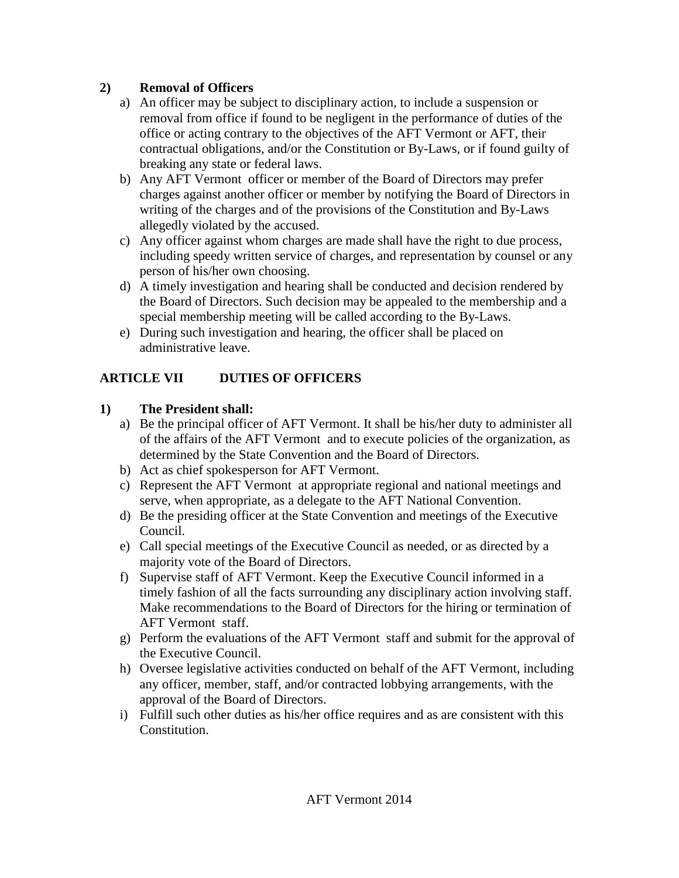### **2) Removal of Officers**

- a) An officer may be subject to disciplinary action, to include a suspension or removal from office if found to be negligent in the performance of duties of the office or acting contrary to the objectives of the AFT Vermont or AFT, their contractual obligations, and/or the Constitution or By-Laws, or if found guilty of breaking any state or federal laws.
- b) Any AFT Vermont officer or member of the Board of Directors may prefer charges against another officer or member by notifying the Board of Directors in writing of the charges and of the provisions of the Constitution and By-Laws allegedly violated by the accused.
- c) Any officer against whom charges are made shall have the right to due process, including speedy written service of charges, and representation by counsel or any person of his/her own choosing.
- d) A timely investigation and hearing shall be conducted and decision rendered by the Board of Directors. Such decision may be appealed to the membership and a special membership meeting will be called according to the By-Laws.
- e) During such investigation and hearing, the officer shall be placed on administrative leave.

# **ARTICLE VII DUTIES OF OFFICERS**

### **1) The President shall:**

- a) Be the principal officer of AFT Vermont. It shall be his/her duty to administer all of the affairs of the AFT Vermont and to execute policies of the organization, as determined by the State Convention and the Board of Directors.
- b) Act as chief spokesperson for AFT Vermont.
- c) Represent the AFT Vermont at appropriate regional and national meetings and serve, when appropriate, as a delegate to the AFT National Convention.
- d) Be the presiding officer at the State Convention and meetings of the Executive Council.
- e) Call special meetings of the Executive Council as needed, or as directed by a majority vote of the Board of Directors.
- f) Supervise staff of AFT Vermont. Keep the Executive Council informed in a timely fashion of all the facts surrounding any disciplinary action involving staff. Make recommendations to the Board of Directors for the hiring or termination of AFT Vermont staff.
- g) Perform the evaluations of the AFT Vermont staff and submit for the approval of the Executive Council.
- h) Oversee legislative activities conducted on behalf of the AFT Vermont, including any officer, member, staff, and/or contracted lobbying arrangements, with the approval of the Board of Directors.
- i) Fulfill such other duties as his/her office requires and as are consistent with this Constitution.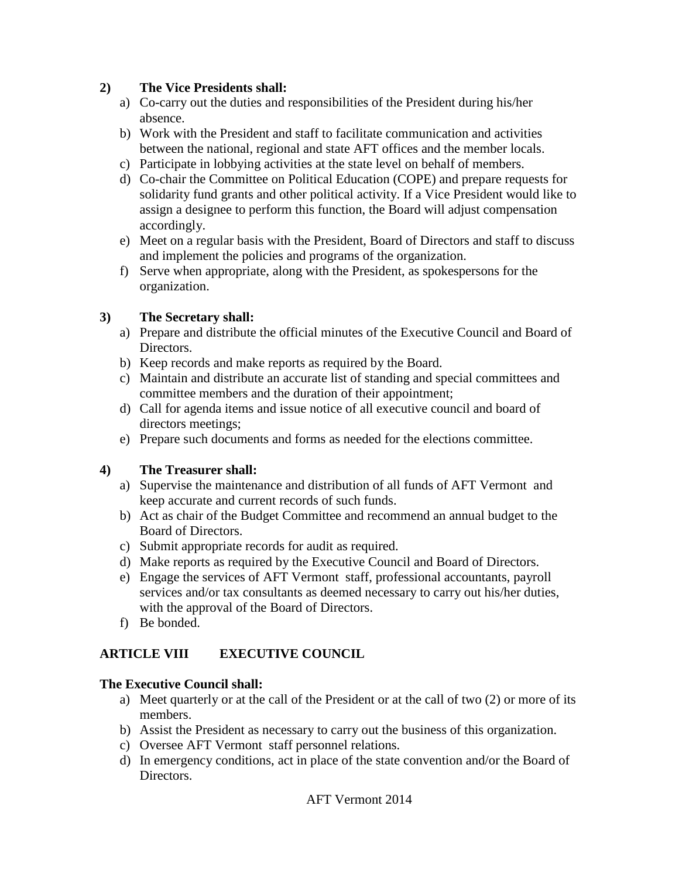#### **2) The Vice Presidents shall:**

- a) Co-carry out the duties and responsibilities of the President during his/her absence.
- b) Work with the President and staff to facilitate communication and activities between the national, regional and state AFT offices and the member locals.
- c) Participate in lobbying activities at the state level on behalf of members.
- d) Co-chair the Committee on Political Education (COPE) and prepare requests for solidarity fund grants and other political activity. If a Vice President would like to assign a designee to perform this function, the Board will adjust compensation accordingly.
- e) Meet on a regular basis with the President, Board of Directors and staff to discuss and implement the policies and programs of the organization.
- f) Serve when appropriate, along with the President, as spokespersons for the organization.

#### **3) The Secretary shall:**

- a) Prepare and distribute the official minutes of the Executive Council and Board of Directors.
- b) Keep records and make reports as required by the Board.
- c) Maintain and distribute an accurate list of standing and special committees and committee members and the duration of their appointment;
- d) Call for agenda items and issue notice of all executive council and board of directors meetings;
- e) Prepare such documents and forms as needed for the elections committee.

#### **4) The Treasurer shall:**

- a) Supervise the maintenance and distribution of all funds of AFT Vermont and keep accurate and current records of such funds.
- b) Act as chair of the Budget Committee and recommend an annual budget to the Board of Directors.
- c) Submit appropriate records for audit as required.
- d) Make reports as required by the Executive Council and Board of Directors.
- e) Engage the services of AFT Vermont staff, professional accountants, payroll services and/or tax consultants as deemed necessary to carry out his/her duties, with the approval of the Board of Directors.
- f) Be bonded.

#### **ARTICLE VIII EXECUTIVE COUNCIL**

#### **The Executive Council shall:**

- a) Meet quarterly or at the call of the President or at the call of two (2) or more of its members.
- b) Assist the President as necessary to carry out the business of this organization.
- c) Oversee AFT Vermont staff personnel relations.
- d) In emergency conditions, act in place of the state convention and/or the Board of Directors.

AFT Vermont 2014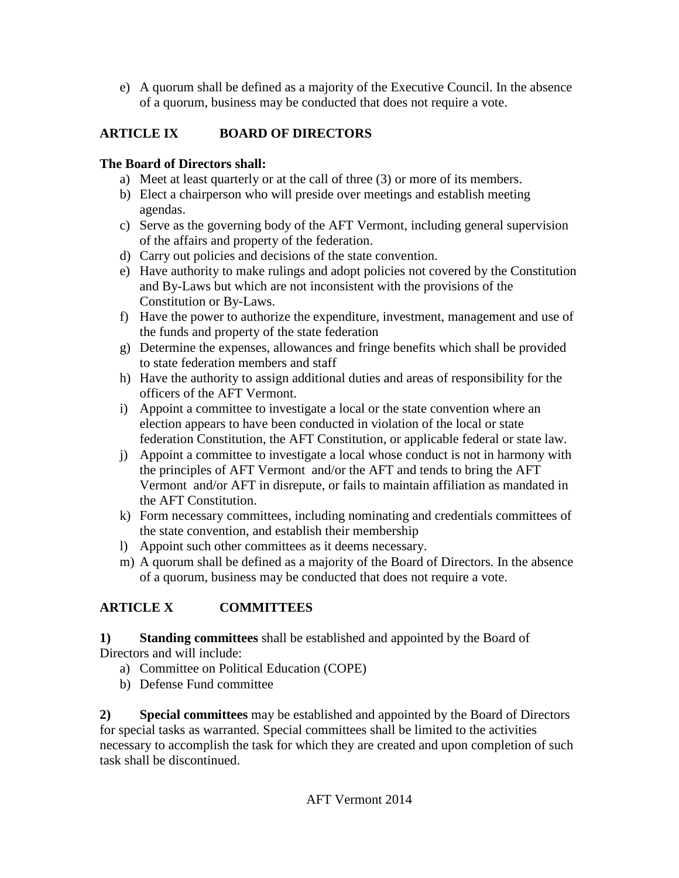e) A quorum shall be defined as a majority of the Executive Council. In the absence of a quorum, business may be conducted that does not require a vote.

## **ARTICLE IX BOARD OF DIRECTORS**

### **The Board of Directors shall:**

- a) Meet at least quarterly or at the call of three (3) or more of its members.
- b) Elect a chairperson who will preside over meetings and establish meeting agendas.
- c) Serve as the governing body of the AFT Vermont, including general supervision of the affairs and property of the federation.
- d) Carry out policies and decisions of the state convention.
- e) Have authority to make rulings and adopt policies not covered by the Constitution and By-Laws but which are not inconsistent with the provisions of the Constitution or By-Laws.
- f) Have the power to authorize the expenditure, investment, management and use of the funds and property of the state federation
- g) Determine the expenses, allowances and fringe benefits which shall be provided to state federation members and staff
- h) Have the authority to assign additional duties and areas of responsibility for the officers of the AFT Vermont.
- i) Appoint a committee to investigate a local or the state convention where an election appears to have been conducted in violation of the local or state federation Constitution, the AFT Constitution, or applicable federal or state law.
- j) Appoint a committee to investigate a local whose conduct is not in harmony with the principles of AFT Vermont and/or the AFT and tends to bring the AFT Vermont and/or AFT in disrepute, or fails to maintain affiliation as mandated in the AFT Constitution.
- k) Form necessary committees, including nominating and credentials committees of the state convention, and establish their membership
- l) Appoint such other committees as it deems necessary.
- m) A quorum shall be defined as a majority of the Board of Directors. In the absence of a quorum, business may be conducted that does not require a vote.

# **ARTICLE X COMMITTEES**

**1) Standing committees** shall be established and appointed by the Board of Directors and will include:

- a) Committee on Political Education (COPE)
- b) Defense Fund committee

**2) Special committees** may be established and appointed by the Board of Directors for special tasks as warranted. Special committees shall be limited to the activities necessary to accomplish the task for which they are created and upon completion of such task shall be discontinued.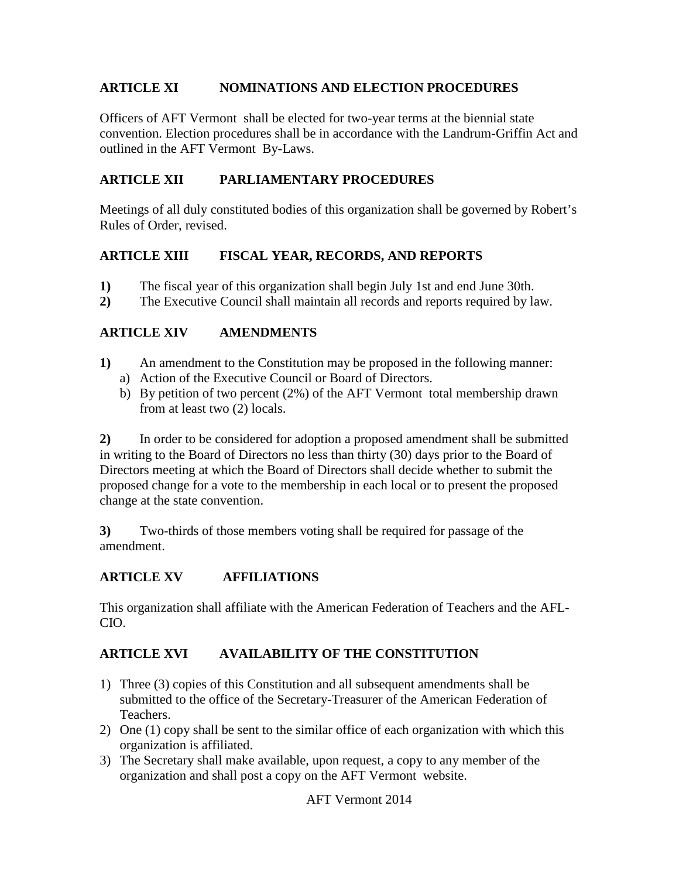#### **ARTICLE XI NOMINATIONS AND ELECTION PROCEDURES**

Officers of AFT Vermont shall be elected for two-year terms at the biennial state convention. Election procedures shall be in accordance with the Landrum-Griffin Act and outlined in the AFT Vermont By-Laws.

#### **ARTICLE XII PARLIAMENTARY PROCEDURES**

Meetings of all duly constituted bodies of this organization shall be governed by Robert's Rules of Order, revised.

#### **ARTICLE XIII FISCAL YEAR, RECORDS, AND REPORTS**

- **1)** The fiscal year of this organization shall begin July 1st and end June 30th.
- **2)** The Executive Council shall maintain all records and reports required by law.

#### **ARTICLE XIV AMENDMENTS**

- **1)** An amendment to the Constitution may be proposed in the following manner: a) Action of the Executive Council or Board of Directors.
	- b) By petition of two percent (2%) of the AFT Vermont total membership drawn from at least two (2) locals.

**2)** In order to be considered for adoption a proposed amendment shall be submitted in writing to the Board of Directors no less than thirty (30) days prior to the Board of Directors meeting at which the Board of Directors shall decide whether to submit the proposed change for a vote to the membership in each local or to present the proposed change at the state convention.

**3)** Two-thirds of those members voting shall be required for passage of the amendment.

#### **ARTICLE XV AFFILIATIONS**

This organization shall affiliate with the American Federation of Teachers and the AFL-CIO.

#### **ARTICLE XVI AVAILABILITY OF THE CONSTITUTION**

- 1) Three (3) copies of this Constitution and all subsequent amendments shall be submitted to the office of the Secretary-Treasurer of the American Federation of Teachers.
- 2) One (1) copy shall be sent to the similar office of each organization with which this organization is affiliated.
- 3) The Secretary shall make available, upon request, a copy to any member of the organization and shall post a copy on the AFT Vermont website.

AFT Vermont 2014